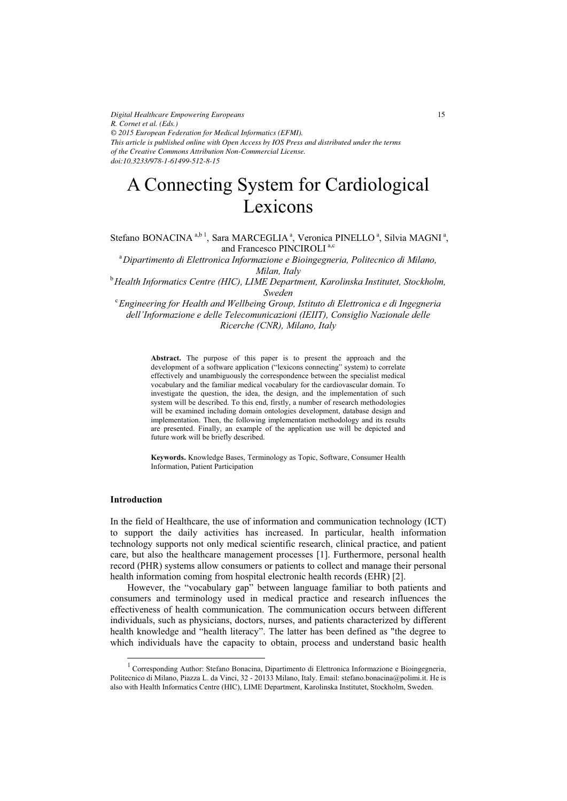*Digital Healthcare Empowering Europeans R. Cornet et al. (Eds.) © 2015 European Federation for Medical Informatics (EFMI). This article is published online with Open Access by IOS Press and distributed under the terms of the Creative Commons Attribution Non-Commercial License. doi:10.3233/978-1-61499-512-8-15*

# A Connecting System for Cardiological Lexicons

Stefano BONACINA<sup>a,b 1</sup>, Sara MARCEGLIA<sup>a</sup>, Veronica PINELLO<sup>a</sup>, Silvia MAGNI<sup>a</sup>, and Francesco PINCIROLI<sup>a,c</sup>

<sup>a</sup> Dipartimento di Elettronica Informazione e Bioingegneria, Politecnico di Milano, *Milan, Italy* 

b *Health Informatics Centre (HIC), LIME Department, Karolinska Institutet, Stockholm,* 

*Sweden* <sup>c</sup> *Engineering for Health and Wellbeing Group, Istituto di Elettronica e di Ingegneria dell'Informazione e delle Telecomunicazioni (IEIIT), Consiglio Nazionale delle Ricerche (CNR), Milano, Italy* 

> **Abstract.** The purpose of this paper is to present the approach and the development of a software application ("lexicons connecting" system) to correlate effectively and unambiguously the correspondence between the specialist medical vocabulary and the familiar medical vocabulary for the cardiovascular domain. To investigate the question, the idea, the design, and the implementation of such system will be described. To this end, firstly, a number of research methodologies will be examined including domain ontologies development, database design and implementation. Then, the following implementation methodology and its results are presented. Finally, an example of the application use will be depicted and future work will be briefly described.

> **Keywords.** Knowledge Bases, Terminology as Topic, Software, Consumer Health Information, Patient Participation

## **Introduction**

-

In the field of Healthcare, the use of information and communication technology (ICT) to support the daily activities has increased. In particular, health information technology supports not only medical scientific research, clinical practice, and patient care, but also the healthcare management processes [1]. Furthermore, personal health record (PHR) systems allow consumers or patients to collect and manage their personal health information coming from hospital electronic health records (EHR) [2].

However, the "vocabulary gap" between language familiar to both patients and consumers and terminology used in medical practice and research influences the effectiveness of health communication. The communication occurs between different individuals, such as physicians, doctors, nurses, and patients characterized by different health knowledge and "health literacy". The latter has been defined as "the degree to which individuals have the capacity to obtain, process and understand basic health

<sup>1</sup> Corresponding Author: Stefano Bonacina, Dipartimento di Elettronica Informazione e Bioingegneria, Politecnico di Milano, Piazza L. da Vinci, 32 - 20133 Milano, Italy. Email: stefano.bonacina@polimi.it. He is also with Health Informatics Centre (HIC), LIME Department, Karolinska Institutet, Stockholm, Sweden.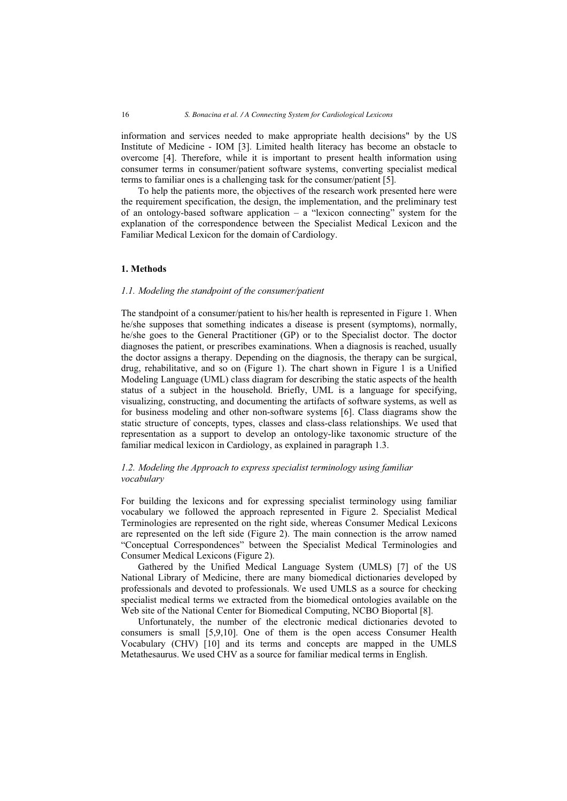information and services needed to make appropriate health decisions" by the US Institute of Medicine - IOM [3]. Limited health literacy has become an obstacle to overcome [4]. Therefore, while it is important to present health information using consumer terms in consumer/patient software systems, converting specialist medical terms to familiar ones is a challenging task for the consumer/patient [5].

To help the patients more, the objectives of the research work presented here were the requirement specification, the design, the implementation, and the preliminary test of an ontology-based software application – a "lexicon connecting" system for the explanation of the correspondence between the Specialist Medical Lexicon and the Familiar Medical Lexicon for the domain of Cardiology.

## **1. Methods**

#### *1.1. Modeling the standpoint of the consumer/patient*

The standpoint of a consumer/patient to his/her health is represented in Figure 1. When he/she supposes that something indicates a disease is present (symptoms), normally, he/she goes to the General Practitioner (GP) or to the Specialist doctor. The doctor diagnoses the patient, or prescribes examinations. When a diagnosis is reached, usually the doctor assigns a therapy. Depending on the diagnosis, the therapy can be surgical, drug, rehabilitative, and so on (Figure 1). The chart shown in Figure 1 is a Unified Modeling Language (UML) class diagram for describing the static aspects of the health status of a subject in the household. Briefly, UML is a language for specifying, visualizing, constructing, and documenting the artifacts of software systems, as well as for business modeling and other non-software systems [6]. Class diagrams show the static structure of concepts, types, classes and class-class relationships. We used that representation as a support to develop an ontology-like taxonomic structure of the familiar medical lexicon in Cardiology, as explained in paragraph 1.3.

## *1.2. Modeling the Approach to express specialist terminology using familiar vocabulary*

For building the lexicons and for expressing specialist terminology using familiar vocabulary we followed the approach represented in Figure 2. Specialist Medical Terminologies are represented on the right side, whereas Consumer Medical Lexicons are represented on the left side (Figure 2). The main connection is the arrow named "Conceptual Correspondences" between the Specialist Medical Terminologies and Consumer Medical Lexicons (Figure 2).

Gathered by the Unified Medical Language System (UMLS) [7] of the US National Library of Medicine, there are many biomedical dictionaries developed by professionals and devoted to professionals. We used UMLS as a source for checking specialist medical terms we extracted from the biomedical ontologies available on the Web site of the National Center for Biomedical Computing, NCBO Bioportal [8].

Unfortunately, the number of the electronic medical dictionaries devoted to consumers is small [5,9,10]. One of them is the open access Consumer Health Vocabulary (CHV) [10] and its terms and concepts are mapped in the UMLS Metathesaurus. We used CHV as a source for familiar medical terms in English.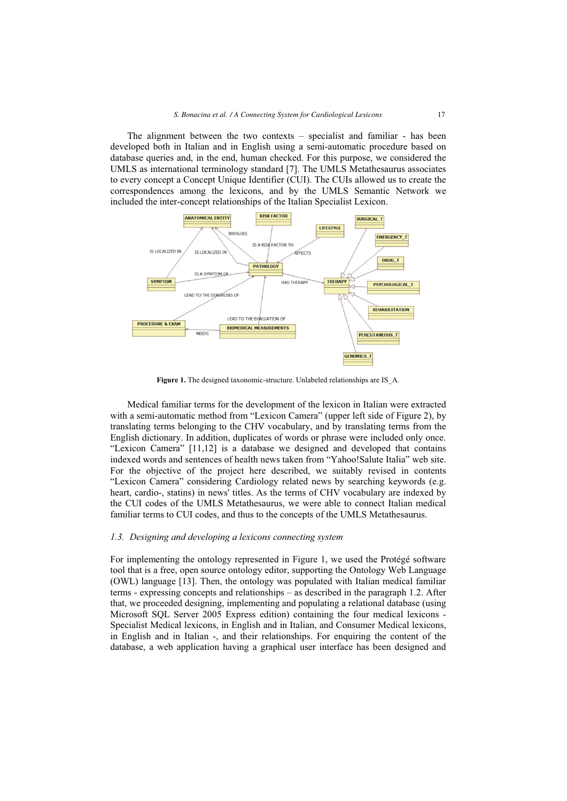The alignment between the two contexts – specialist and familiar - has been developed both in Italian and in English using a semi-automatic procedure based on database queries and, in the end, human checked. For this purpose, we considered the UMLS as international terminology standard [7]. The UMLS Metathesaurus associates to every concept a Concept Unique Identifier (CUI). The CUIs allowed us to create the correspondences among the lexicons, and by the UMLS Semantic Network we included the inter-concept relationships of the Italian Specialist Lexicon.



**Figure 1.** The designed taxonomic-structure. Unlabeled relationships are IS\_A.

Medical familiar terms for the development of the lexicon in Italian were extracted with a semi-automatic method from "Lexicon Camera" (upper left side of Figure 2), by translating terms belonging to the CHV vocabulary, and by translating terms from the English dictionary. In addition, duplicates of words or phrase were included only once. "Lexicon Camera" [11,12] is a database we designed and developed that contains indexed words and sentences of health news taken from "Yahoo!Salute Italia" web site. For the objective of the project here described, we suitably revised in contents "Lexicon Camera" considering Cardiology related news by searching keywords (e.g. heart, cardio-, statins) in news' titles. As the terms of CHV vocabulary are indexed by the CUI codes of the UMLS Metathesaurus, we were able to connect Italian medical familiar terms to CUI codes, and thus to the concepts of the UMLS Metathesaurus.

### *1.3. Designing and developing a lexicons connecting system*

For implementing the ontology represented in Figure 1, we used the Protégé software tool that is a free, open source ontology editor, supporting the Ontology Web Language (OWL) language [13]. Then, the ontology was populated with Italian medical familiar terms - expressing concepts and relationships – as described in the paragraph 1.2. After that, we proceeded designing, implementing and populating a relational database (using Microsoft SQL Server 2005 Express edition) containing the four medical lexicons - Specialist Medical lexicons, in English and in Italian, and Consumer Medical lexicons, in English and in Italian -, and their relationships. For enquiring the content of the database, a web application having a graphical user interface has been designed and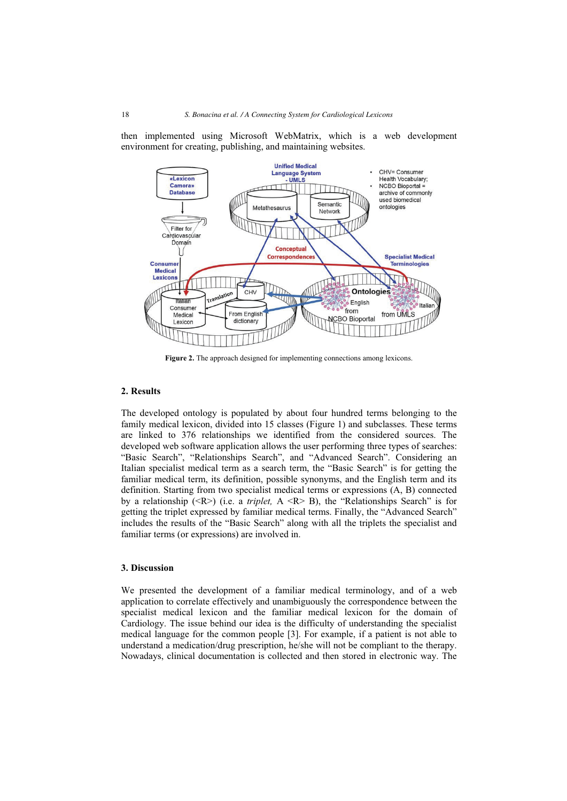then implemented using Microsoft WebMatrix, which is a web development environment for creating, publishing, and maintaining websites.



**Figure 2.** The approach designed for implementing connections among lexicons.

## **2. Results**

The developed ontology is populated by about four hundred terms belonging to the family medical lexicon, divided into 15 classes (Figure 1) and subclasses. These terms are linked to 376 relationships we identified from the considered sources. The developed web software application allows the user performing three types of searches: "Basic Search", "Relationships Search", and "Advanced Search". Considering an Italian specialist medical term as a search term, the "Basic Search" is for getting the familiar medical term, its definition, possible synonyms, and the English term and its definition. Starting from two specialist medical terms or expressions (A, B) connected by a relationship  $(**R**)$  (i.e. a *triplet,*  $A **R**$  B), the "Relationships Search" is for getting the triplet expressed by familiar medical terms. Finally, the "Advanced Search" includes the results of the "Basic Search" along with all the triplets the specialist and familiar terms (or expressions) are involved in.

## **3. Discussion**

We presented the development of a familiar medical terminology, and of a web application to correlate effectively and unambiguously the correspondence between the specialist medical lexicon and the familiar medical lexicon for the domain of Cardiology. The issue behind our idea is the difficulty of understanding the specialist medical language for the common people [3]. For example, if a patient is not able to understand a medication/drug prescription, he/she will not be compliant to the therapy. Nowadays, clinical documentation is collected and then stored in electronic way. The